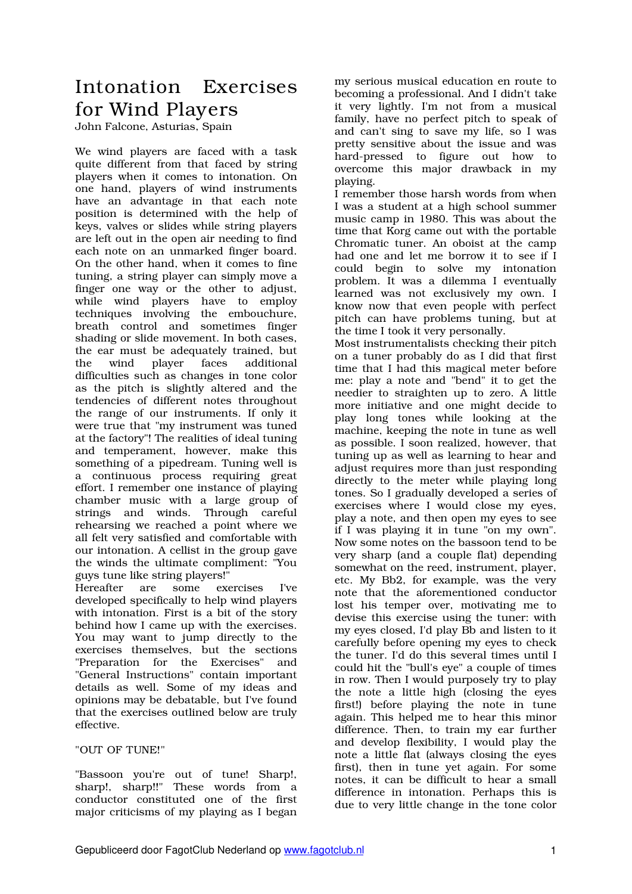# Intonation Exercises for Wind Players

John Falcone, Asturias, Spain

We wind players are faced with a task quite different from that faced by string players when it comes to intonation. On one hand, players of wind instruments have an advantage in that each note position is determined with the help of keys, valves or slides while string players are left out in the open air needing to find each note on an unmarked finger board. On the other hand, when it comes to fine tuning, a string player can simply move a finger one way or the other to adjust, while wind players have to employ techniques involving the embouchure, breath control and sometimes finger shading or slide movement. In both cases, the ear must be adequately trained, but the wind player faces additional difficulties such as changes in tone color as the pitch is slightly altered and the tendencies of different notes throughout the range of our instruments. If only it were true that "my instrument was tuned at the factory"! The realities of ideal tuning and temperament, however, make this something of a pipedream. Tuning well is a continuous process requiring great effort. I remember one instance of playing chamber music with a large group of strings and winds. Through careful rehearsing we reached a point where we all felt very satisfied and comfortable with our intonation. A cellist in the group gave the winds the ultimate compliment: "You guys tune like string players!"

Hereafter are some exercises I've developed specifically to help wind players with intonation. First is a bit of the story behind how I came up with the exercises. You may want to jump directly to the exercises themselves, but the sections "Preparation for the Exercises" and "General Instructions" contain important details as well. Some of my ideas and opinions may be debatable, but I've found that the exercises outlined below are truly effective.

"OUT OF TUNE!"

"Bassoon you're out of tune! Sharp!, sharp!, sharp!!" These words from a conductor constituted one of the first major criticisms of my playing as I began

my serious musical education en route to becoming a professional. And I didn't take it very lightly. I'm not from a musical family, have no perfect pitch to speak of and can't sing to save my life, so I was pretty sensitive about the issue and was hard-pressed to figure out how to overcome this major drawback in my playing.

I remember those harsh words from when I was a student at a high school summer music camp in 1980. This was about the time that Korg came out with the portable Chromatic tuner. An oboist at the camp had one and let me borrow it to see if I could begin to solve my intonation problem. It was a dilemma I eventually learned was not exclusively my own. I know now that even people with perfect pitch can have problems tuning, but at the time I took it very personally.

Most instrumentalists checking their pitch on a tuner probably do as I did that first time that I had this magical meter before me: play a note and "bend" it to get the needier to straighten up to zero. A little more initiative and one might decide to play long tones while looking at the machine, keeping the note in tune as well as possible. I soon realized, however, that tuning up as well as learning to hear and adjust requires more than just responding directly to the meter while playing long tones. So I gradually developed a series of exercises where I would close my eyes, play a note, and then open my eyes to see if I was playing it in tune "on my own". Now some notes on the bassoon tend to be very sharp (and a couple flat) depending somewhat on the reed, instrument, player, etc. My Bb2, for example, was the very note that the aforementioned conductor lost his temper over, motivating me to devise this exercise using the tuner: with my eyes closed, I'd play Bb and listen to it carefully before opening my eyes to check the tuner. I'd do this several times until I could hit the "bull's eye" a couple of times in row. Then I would purposely try to play the note a little high (closing the eyes first!) before playing the note in tune again. This helped me to hear this minor difference. Then, to train my ear further and develop flexibility, I would play the note a little flat (always closing the eyes first), then in tune yet again. For some notes, it can be difficult to hear a small difference in intonation. Perhaps this is due to very little change in the tone color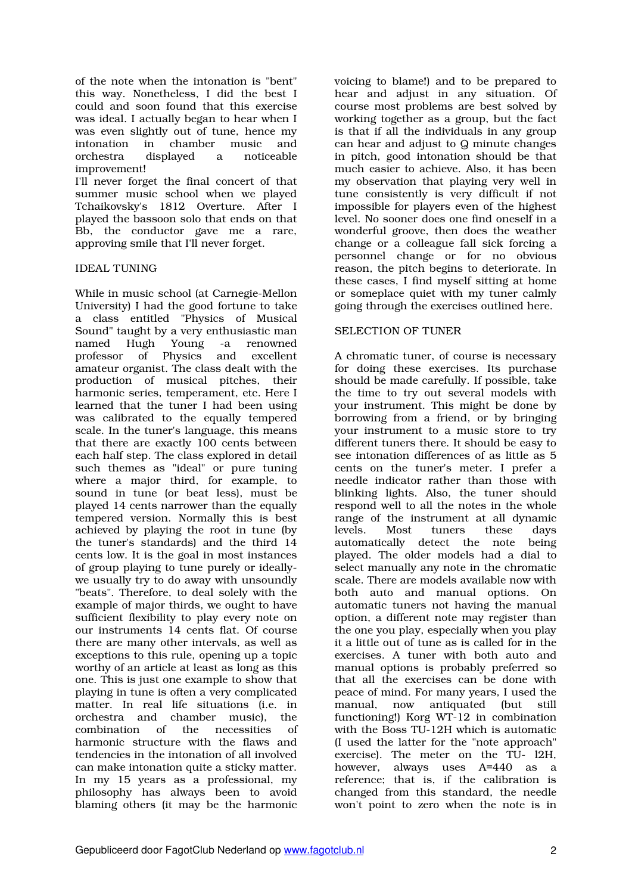of the note when the intonation is "bent" this way. Nonetheless, I did the best I could and soon found that this exercise was ideal. I actually began to hear when I was even slightly out of tune, hence my intonation in chamber music and<br>orchestra displayed a noticeable displayed a improvement!

I'll never forget the final concert of that summer music school when we played Tchaikovsky's 1812 Overture. After I played the bassoon solo that ends on that Bb, the conductor gave me a rare, approving smile that I'll never forget.

#### IDEAL TUNING

While in music school (at Carnegie-Mellon University) I had the good fortune to take a class entitled "Physics of Musical Sound" taught by a very enthusiastic man named Hugh Young -a renowned professor of Physics and excellent amateur organist. The class dealt with the production of musical pitches, their harmonic series, temperament, etc. Here I learned that the tuner I had been using was calibrated to the equally tempered scale. In the tuner's language, this means that there are exactly 100 cents between each half step. The class explored in detail such themes as "ideal" or pure tuning where a major third, for example, to sound in tune (or beat less), must be played 14 cents narrower than the equally tempered version. Normally this is best achieved by playing the root in tune (by the tuner's standards) and the third 14 cents low. It is the goal in most instances of group playing to tune purely or ideallywe usually try to do away with unsoundly "beats". Therefore, to deal solely with the example of major thirds, we ought to have sufficient flexibility to play every note on our instruments 14 cents flat. Of course there are many other intervals, as well as exceptions to this rule, opening up a topic worthy of an article at least as long as this one. This is just one example to show that playing in tune is often a very complicated matter. In real life situations (i.e. in orchestra and chamber music), the combination of the necessities of harmonic structure with the flaws and tendencies in the intonation of all involved can make intonation quite a sticky matter. In my 15 years as a professional, my philosophy has always been to avoid blaming others (it may be the harmonic

voicing to blame!) and to be prepared to hear and adjust in any situation. Of course most problems are best solved by working together as a group, but the fact is that if all the individuals in any group can hear and adjust to Q minute changes in pitch, good intonation should be that much easier to achieve. Also, it has been my observation that playing very well in tune consistently is very difficult if not impossible for players even of the highest level. No sooner does one find oneself in a wonderful groove, then does the weather change or a colleague fall sick forcing a personnel change or for no obvious reason, the pitch begins to deteriorate. In these cases, I find myself sitting at home or someplace quiet with my tuner calmly going through the exercises outlined here.

#### SELECTION OF TUNER

A chromatic tuner, of course is necessary for doing these exercises. Its purchase should be made carefully. If possible, take the time to try out several models with your instrument. This might be done by borrowing from a friend, or by bringing your instrument to a music store to try different tuners there. It should be easy to see intonation differences of as little as 5 cents on the tuner's meter. I prefer a needle indicator rather than those with blinking lights. Also, the tuner should respond well to all the notes in the whole range of the instrument at all dynamic levels. Most tuners these days automatically detect the note being played. The older models had a dial to select manually any note in the chromatic scale. There are models available now with both auto and manual options. On automatic tuners not having the manual option, a different note may register than the one you play, especially when you play it a little out of tune as is called for in the exercises. A tuner with both auto and manual options is probably preferred so that all the exercises can be done with peace of mind. For many years, I used the manual, now antiquated (but still functioning!) Korg WT-12 in combination with the Boss TU-12H which is automatic (I used the latter for the "note approach" exercise). The meter on the TU- l2H, however, always uses A=440 as a reference; that is, if the calibration is changed from this standard, the needle won't point to zero when the note is in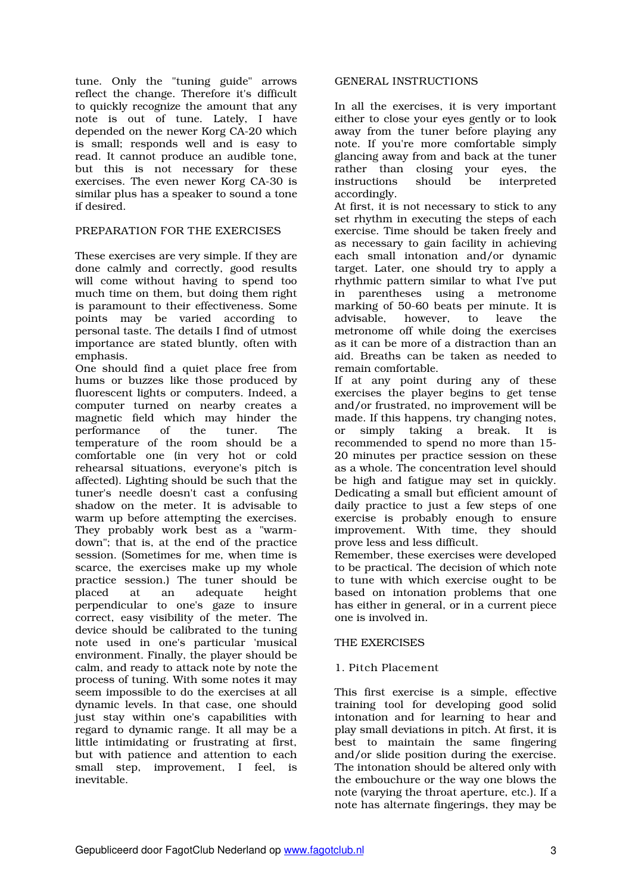tune. Only the "tuning guide" arrows reflect the change. Therefore it's difficult to quickly recognize the amount that any note is out of tune. Lately, I have depended on the newer Korg CA-20 which is small; responds well and is easy to read. It cannot produce an audible tone, but this is not necessary for these exercises. The even newer Korg CA-30 is similar plus has a speaker to sound a tone if desired.

## PREPARATION FOR THE EXERCISES

These exercises are very simple. If they are done calmly and correctly, good results will come without having to spend too much time on them, but doing them right is paramount to their effectiveness. Some points may be varied according to personal taste. The details I find of utmost importance are stated bluntly, often with emphasis.

One should find a quiet place free from hums or buzzes like those produced by fluorescent lights or computers. Indeed, a computer turned on nearby creates a magnetic field which may hinder the<br>performance of the tuner. The performance of the tuner. The temperature of the room should be a comfortable one (in very hot or cold rehearsal situations, everyone's pitch is affected). Lighting should be such that the tuner's needle doesn't cast a confusing shadow on the meter. It is advisable to warm up before attempting the exercises. They probably work best as a "warmdown"; that is, at the end of the practice session. (Sometimes for me, when time is scarce, the exercises make up my whole practice session.) The tuner should be placed at an adequate height perpendicular to one's gaze to insure correct, easy visibility of the meter. The device should be calibrated to the tuning note used in one's particular 'musical environment. Finally, the player should be calm, and ready to attack note by note the process of tuning. With some notes it may seem impossible to do the exercises at all dynamic levels. In that case, one should just stay within one's capabilities with regard to dynamic range. It all may be a little intimidating or frustrating at first, but with patience and attention to each small step, improvement, I feel, is inevitable.

#### GENERAL INSTRUCTIONS

In all the exercises, it is very important either to close your eyes gently or to look away from the tuner before playing any note. If you're more comfortable simply glancing away from and back at the tuner rather than closing your eyes, the<br>instructions should be interpreted instructions accordingly.

At first, it is not necessary to stick to any set rhythm in executing the steps of each exercise. Time should be taken freely and as necessary to gain facility in achieving each small intonation and/or dynamic target. Later, one should try to apply a rhythmic pattern similar to what I've put in parentheses using a metronome marking of 50-60 beats per minute. It is advisable, however, to leave the metronome off while doing the exercises as it can be more of a distraction than an aid. Breaths can be taken as needed to remain comfortable.

If at any point during any of these exercises the player begins to get tense and/or frustrated, no improvement will be made. If this happens, try changing notes, or simply taking a break. It is recommended to spend no more than 15- 20 minutes per practice session on these as a whole. The concentration level should be high and fatigue may set in quickly. Dedicating a small but efficient amount of daily practice to just a few steps of one exercise is probably enough to ensure improvement. With time, they should prove less and less difficult.

Remember, these exercises were developed to be practical. The decision of which note to tune with which exercise ought to be based on intonation problems that one has either in general, or in a current piece one is involved in.

#### THE EXERCISES

## 1. Pitch Placement

This first exercise is a simple, effective training tool for developing good solid intonation and for learning to hear and play small deviations in pitch. At first, it is best to maintain the same fingering and/or slide position during the exercise. The intonation should be altered only with the embouchure or the way one blows the note (varying the throat aperture, etc.). If a note has alternate fingerings, they may be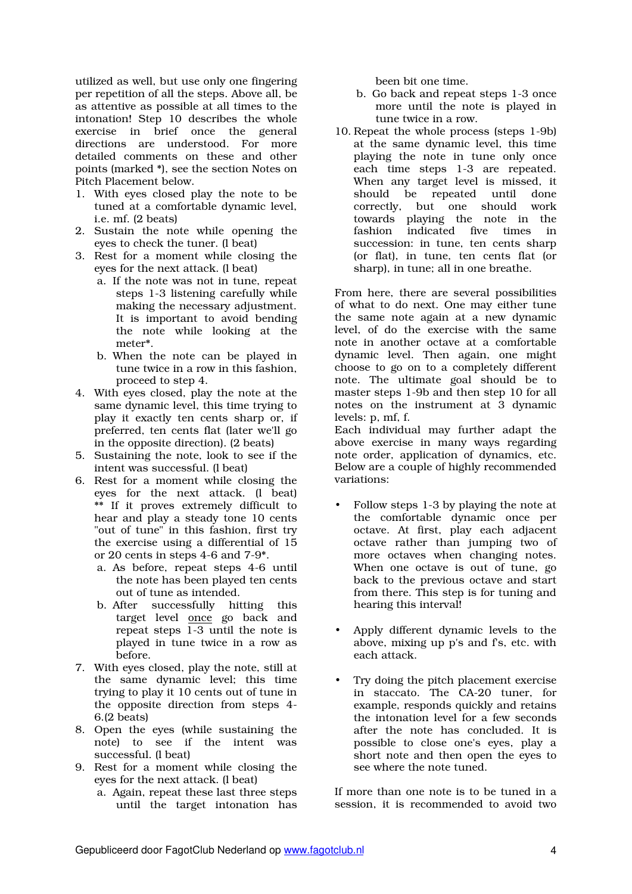utilized as well, but use only one fingering per repetition of all the steps. Above all, be as attentive as possible at all times to the intonation! Step 10 describes the whole exercise in brief once the general directions are understood. For more detailed comments on these and other points (marked \*), see the section Notes on Pitch Placement below.

- 1. With eyes closed play the note to be tuned at a comfortable dynamic level, i.e. mf. (2 beats)
- 2. Sustain the note while opening the eyes to check the tuner. (l beat)
- 3. Rest for a moment while closing the eyes for the next attack. (l beat)
	- a. If the note was not in tune, repeat steps 1-3 listening carefully while making the necessary adjustment. It is important to avoid bending the note while looking at the meter\*.
	- b. When the note can be played in tune twice in a row in this fashion, proceed to step 4.
- 4. With eyes closed, play the note at the same dynamic level, this time trying to play it exactly ten cents sharp or, if preferred, ten cents flat (later we'll go in the opposite direction). (2 beats)
- 5. Sustaining the note, look to see if the intent was successful. (l beat)
- 6. Rest for a moment while closing the eyes for the next attack. (l beat) \*\* If it proves extremely difficult to hear and play a steady tone 10 cents "out of tune" in this fashion, first try the exercise using a differential of 15 or 20 cents in steps 4-6 and 7-9\*.
	- a. As before, repeat steps 4-6 until the note has been played ten cents out of tune as intended.
	- b. After successfully hitting this target level once go back and repeat steps 1-3 until the note is played in tune twice in a row as before.
- 7. With eyes closed, play the note, still at the same dynamic level; this time trying to play it 10 cents out of tune in the opposite direction from steps 4- 6.(2 beats)
- 8. Open the eyes (while sustaining the note) to see if the intent was successful. (l beat)
- 9. Rest for a moment while closing the eyes for the next attack. (l beat)
	- a. Again, repeat these last three steps until the target intonation has

been bit one time.

- b. Go back and repeat steps 1-3 once more until the note is played in tune twice in a row.
- 10. Repeat the whole process (steps 1-9b) at the same dynamic level, this time playing the note in tune only once each time steps 1-3 are repeated. When any target level is missed, it should be repeated until done correctly, but one should work towards playing the note in the fashion indicated five times in succession: in tune, ten cents sharp (or flat), in tune, ten cents flat (or sharp), in tune; all in one breathe.

From here, there are several possibilities of what to do next. One may either tune the same note again at a new dynamic level, of do the exercise with the same note in another octave at a comfortable dynamic level. Then again, one might choose to go on to a completely different note. The ultimate goal should be to master steps 1-9b and then step 10 for all notes on the instrument at 3 dynamic levels: p, mf, f.

Each individual may further adapt the above exercise in many ways regarding note order, application of dynamics, etc. Below are a couple of highly recommended variations:

- Follow steps 1-3 by playing the note at the comfortable dynamic once per octave. At first, play each adjacent octave rather than jumping two of more octaves when changing notes. When one octave is out of tune, go back to the previous octave and start from there. This step is for tuning and hearing this interval!
- Apply different dynamic levels to the above, mixing up p's and f's, etc. with each attack.
- Try doing the pitch placement exercise in staccato. The CA-20 tuner, for example, responds quickly and retains the intonation level for a few seconds after the note has concluded. It is possible to close one's eyes, play a short note and then open the eyes to see where the note tuned.

If more than one note is to be tuned in a session, it is recommended to avoid two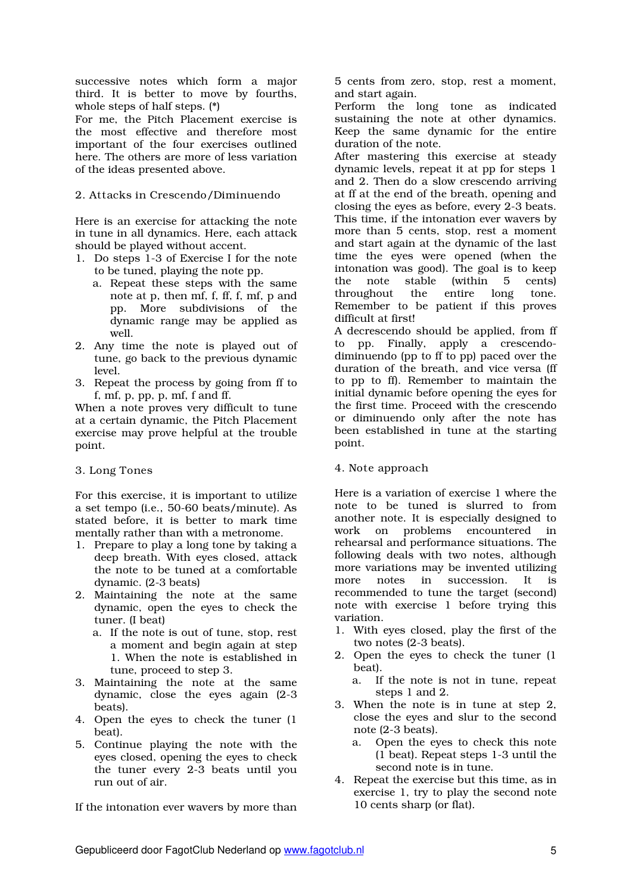successive notes which form a major third. It is better to move by fourths, whole steps of half steps. (\*)

For me, the Pitch Placement exercise is the most effective and therefore most important of the four exercises outlined here. The others are more of less variation of the ideas presented above.

## 2. Attacks in Crescendo/Diminuendo

Here is an exercise for attacking the note in tune in all dynamics. Here, each attack should be played without accent.

- 1. Do steps 1-3 of Exercise I for the note to be tuned, playing the note pp.
	- a. Repeat these steps with the same note at p, then mf, f, ff, f, mf, p and pp. More subdivisions of the dynamic range may be applied as well.
- 2. Any time the note is played out of tune, go back to the previous dynamic level.
- 3. Repeat the process by going from ff to f, mf, p, pp, p, mf, f and ff.

When a note proves very difficult to tune at a certain dynamic, the Pitch Placement exercise may prove helpful at the trouble point.

## 3. Long Tones

For this exercise, it is important to utilize a set tempo (i.e., 50-60 beats/minute). As stated before, it is better to mark time mentally rather than with a metronome.

- 1. Prepare to play a long tone by taking a deep breath. With eyes closed, attack the note to be tuned at a comfortable dynamic. (2-3 beats)
- 2. Maintaining the note at the same dynamic, open the eyes to check the tuner. (I beat)
	- a. If the note is out of tune, stop, rest a moment and begin again at step 1. When the note is established in tune, proceed to step 3.
- 3. Maintaining the note at the same dynamic, close the eyes again (2-3 beats).
- 4. Open the eyes to check the tuner (1 beat).
- 5. Continue playing the note with the eyes closed, opening the eyes to check the tuner every 2-3 beats until you run out of air.

If the intonation ever wavers by more than

5 cents from zero, stop, rest a moment, and start again.

Perform the long tone as indicated sustaining the note at other dynamics. Keep the same dynamic for the entire duration of the note.

After mastering this exercise at steady dynamic levels, repeat it at pp for steps 1 and 2. Then do a slow crescendo arriving at ff at the end of the breath, opening and closing the eyes as before, every 2-3 beats. This time, if the intonation ever wavers by more than 5 cents, stop, rest a moment and start again at the dynamic of the last time the eyes were opened (when the intonation was good). The goal is to keep the note stable (within 5 cents)<br>throughout the entire long tone. throughout the entire long tone. Remember to be patient if this proves difficult at first!

A decrescendo should be applied, from ff to pp. Finally, apply a crescendodiminuendo (pp to ff to pp) paced over the duration of the breath, and vice versa (ff to pp to ff). Remember to maintain the initial dynamic before opening the eyes for the first time. Proceed with the crescendo or diminuendo only after the note has been established in tune at the starting point.

## 4. Note approach

Here is a variation of exercise 1 where the note to be tuned is slurred to from another note. It is especially designed to work on problems encountered in rehearsal and performance situations. The following deals with two notes, although more variations may be invented utilizing<br>more notes in succession. It is more notes in succession. It is recommended to tune the target (second) note with exercise 1 before trying this variation.

- 1. With eyes closed, play the first of the two notes (2-3 beats).
- 2. Open the eyes to check the tuner (1 beat).
	- a. If the note is not in tune, repeat steps 1 and 2.
- 3. When the note is in tune at step 2, close the eyes and slur to the second note (2-3 beats).
	- a. Open the eyes to check this note (1 beat). Repeat steps 1-3 until the second note is in tune.
- 4. Repeat the exercise but this time, as in exercise 1, try to play the second note 10 cents sharp (or flat).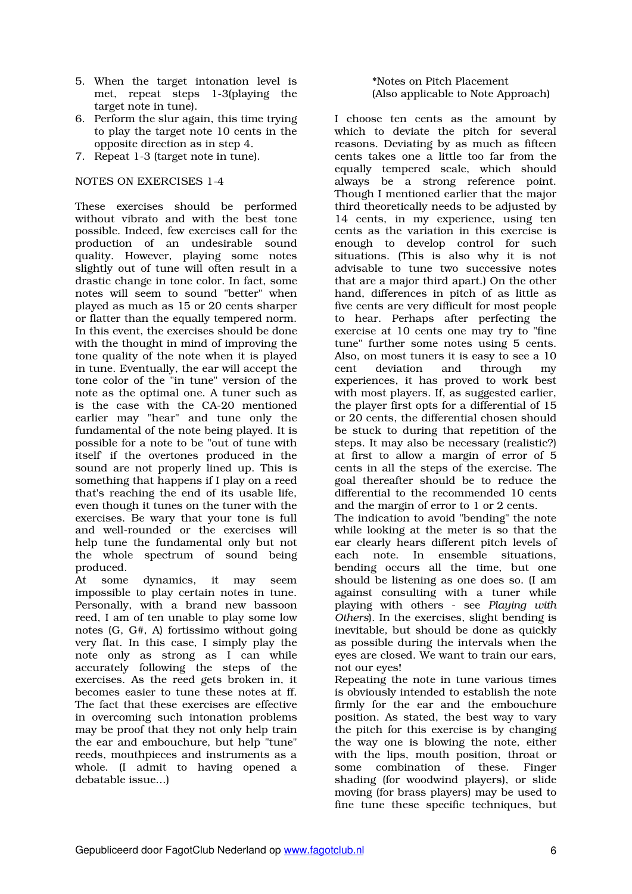- 5. When the target intonation level is met, repeat steps 1-3(playing the target note in tune).
- 6. Perform the slur again, this time trying to play the target note 10 cents in the opposite direction as in step 4.
- 7. Repeat 1-3 (target note in tune).

#### NOTES ON EXERCISES 1-4

These exercises should be performed without vibrato and with the best tone possible. Indeed, few exercises call for the production of an undesirable sound quality. However, playing some notes slightly out of tune will often result in a drastic change in tone color. In fact, some notes will seem to sound "better" when played as much as 15 or 20 cents sharper or flatter than the equally tempered norm. In this event, the exercises should be done with the thought in mind of improving the tone quality of the note when it is played in tune. Eventually, the ear will accept the tone color of the "in tune" version of the note as the optimal one. A tuner such as is the case with the CA-20 mentioned earlier may "hear" and tune only the fundamental of the note being played. It is possible for a note to be "out of tune with itself' if the overtones produced in the sound are not properly lined up. This is something that happens if I play on a reed that's reaching the end of its usable life, even though it tunes on the tuner with the exercises. Be wary that your tone is full and well-rounded or the exercises will help tune the fundamental only but not the whole spectrum of sound being produced.

At some dynamics, it may seem impossible to play certain notes in tune. Personally, with a brand new bassoon reed, I am of ten unable to play some low notes (G, G#, A) fortissimo without going very flat. In this case, I simply play the note only as strong as I can while accurately following the steps of the exercises. As the reed gets broken in, it becomes easier to tune these notes at ff. The fact that these exercises are effective in overcoming such intonation problems may be proof that they not only help train the ear and embouchure, but help "tune" reeds, mouthpieces and instruments as a whole. (I admit to having opened a debatable issue...)

#### \*Notes on Pitch Placement (Also applicable to Note Approach)

I choose ten cents as the amount by which to deviate the pitch for several reasons. Deviating by as much as fifteen cents takes one a little too far from the equally tempered scale, which should always be a strong reference point. Though I mentioned earlier that the major third theoretically needs to be adjusted by 14 cents, in my experience, using ten cents as the variation in this exercise is enough to develop control for such situations. (This is also why it is not advisable to tune two successive notes that are a major third apart.) On the other hand, differences in pitch of as little as five cents are very difficult for most people to hear. Perhaps after perfecting the exercise at 10 cents one may try to "fine tune" further some notes using 5 cents. Also, on most tuners it is easy to see a 10 cent deviation and through my experiences, it has proved to work best with most players. If, as suggested earlier, the player first opts for a differential of 15 or 20 cents, the differential chosen should be stuck to during that repetition of the steps. It may also be necessary (realistic?) at first to allow a margin of error of 5 cents in all the steps of the exercise. The goal thereafter should be to reduce the differential to the recommended 10 cents and the margin of error to 1 or 2 cents. The indication to avoid "bending" the note while looking at the meter is so that the ear clearly hears different pitch levels of each note. In ensemble situations, bending occurs all the time, but one should be listening as one does so. (I am against consulting with a tuner while playing with others - see *Playing with Others*). In the exercises, slight bending is inevitable, but should be done as quickly as possible during the intervals when the eyes are closed. We want to train our ears, not our eyes!

Repeating the note in tune various times is obviously intended to establish the note firmly for the ear and the embouchure position. As stated, the best way to vary the pitch for this exercise is by changing the way one is blowing the note, either with the lips, mouth position, throat or some combination of these. Finger shading (for woodwind players), or slide moving (for brass players) may be used to fine tune these specific techniques, but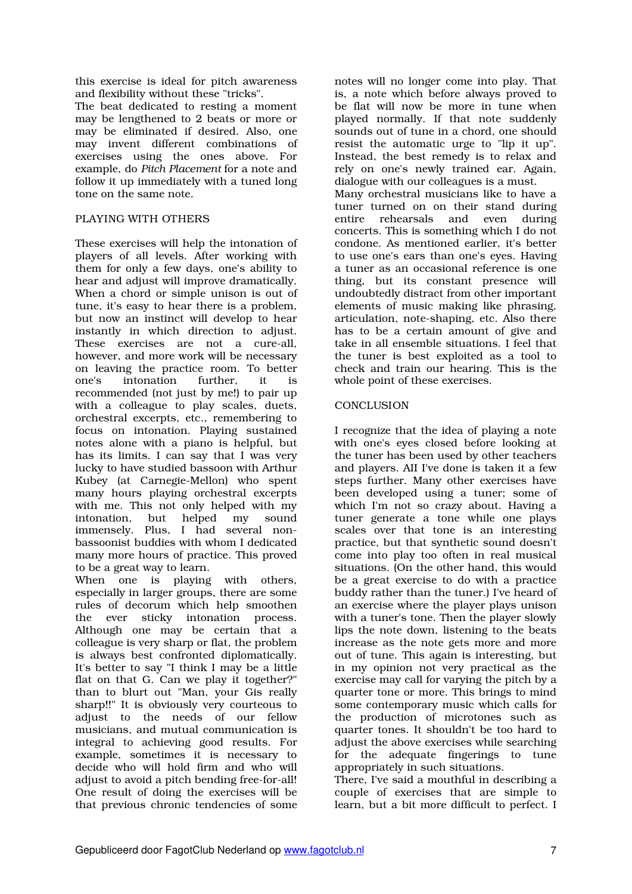this exercise is ideal for pitch awareness and flexibility without these "tricks".

The beat dedicated to resting a moment may be lengthened to 2 beats or more or may be eliminated if desired. Also, one may invent different combinations of exercises using the ones above. For example, do *Pitch Placement* for a note and follow it up immediately with a tuned long tone on the same note.

## PLAYING WITH OTHERS

These exercises will help the intonation of players of all levels. After working with them for only a few days, one's ability to hear and adjust will improve dramatically. When a chord or simple unison is out of tune, it's easy to hear there is a problem, but now an instinct will develop to hear instantly in which direction to adjust. These exercises are not a cure-all, however, and more work will be necessary on leaving the practice room. To better one's intonation further, it is recommended (not just by me!) to pair up with a colleague to play scales, duets, orchestral excerpts, etc., remembering to focus on intonation. Playing sustained notes alone with a piano is helpful, but has its limits. I can say that I was very lucky to have studied bassoon with Arthur Kubey (at Carnegie-Mellon) who spent many hours playing orchestral excerpts with me. This not only helped with my intonation, but helped my sound immensely. Plus, I had several nonbassoonist buddies with whom I dedicated many more hours of practice. This proved to be a great way to learn.<br>When one is playing

playing with others, especially in larger groups, there are some rules of decorum which help smoothen the ever sticky intonation process. Although one may be certain that a colleague is very sharp or flat, the problem is always best confronted diplomatically. It's better to say "I think I may be a little flat on that G. Can we play it together?" than to blurt out "Man, your Gis really sharp!!" It is obviously very courteous to adjust to the needs of our fellow musicians, and mutual communication is integral to achieving good results. For example, sometimes it is necessary to decide who will hold firm and who will adjust to avoid a pitch bending free-for-all! One result of doing the exercises will be that previous chronic tendencies of some

notes will no longer come into play. That is, a note which before always proved to be flat will now be more in tune when played normally. If that note suddenly sounds out of tune in a chord, one should resist the automatic urge to "lip it up". Instead, the best remedy is to relax and rely on one's newly trained ear. Again, dialogue with our colleagues is a must. Many orchestral musicians like to have a tuner turned on on their stand during<br>entire rehearsals and even during entire rehearsals and even during concerts. This is something which I do not condone. As mentioned earlier, it's better to use one's ears than one's eyes. Having a tuner as an occasional reference is one thing, but its constant presence will undoubtedly distract from other important elements of music making like phrasing, articulation, note-shaping, etc. Also there has to be a certain amount of give and take in all ensemble situations. I feel that

the tuner is best exploited as a tool to check and train our hearing. This is the

whole point of these exercises.

# **CONCLUSION**

I recognize that the idea of playing a note with one's eyes closed before looking at the tuner has been used by other teachers and players. AII I've done is taken it a few steps further. Many other exercises have been developed using a tuner; some of which I'm not so crazy about. Having a tuner generate a tone while one plays scales over that tone is an interesting practice, but that synthetic sound doesn't come into play too often in real musical situations. (On the other hand, this would be a great exercise to do with a practice buddy rather than the tuner.) I've heard of an exercise where the player plays unison with a tuner's tone. Then the player slowly lips the note down, listening to the beats increase as the note gets more and more out of tune. This again is interesting, but in my opinion not very practical as the exercise may call for varying the pitch by a quarter tone or more. This brings to mind some contemporary music which calls for the production of microtones such as quarter tones. It shouldn't be too hard to adjust the above exercises while searching for the adequate fingerings to tune appropriately in such situations.

There, I've said a mouthful in describing a couple of exercises that are simple to learn, but a bit more difficult to perfect. I